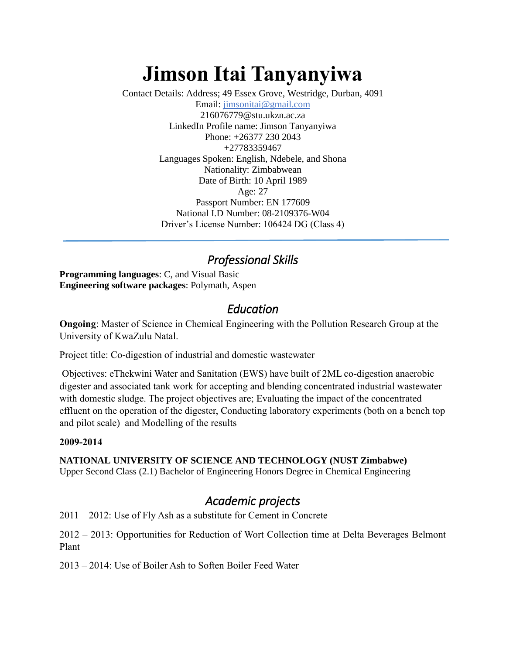# **Jimson Itai Tanyanyiwa**

Contact Details: Address; 49 Essex Grove, Westridge, Durban, 4091 Email: jimsonitai@gmail.com 216076779@stu.ukzn.ac.za LinkedIn Profile name: Jimson Tanyanyiwa Phone: +26377 230 2043 +27783359467 Languages Spoken: English, Ndebele, and Shona Nationality: Zimbabwean Date of Birth: 10 April 1989 Age: 27 Passport Number: EN 177609 National I.D Number: 08-2109376-W04 Driver's License Number: 106424 DG (Class 4)

# *Professional Skills*

**Programming languages**: C, and Visual Basic **Engineering software packages**: Polymath, Aspen

# *Education*

**Ongoing**: Master of Science in Chemical Engineering with the Pollution Research Group at the University of KwaZulu Natal.

Project title: Co-digestion of industrial and domestic wastewater

Objectives: eThekwini Water and Sanitation (EWS) have built of 2ML co-digestion anaerobic digester and associated tank work for accepting and blending concentrated industrial wastewater with domestic sludge. The project objectives are; Evaluating the impact of the concentrated effluent on the operation of the digester, Conducting laboratory experiments (both on a bench top and pilot scale) and Modelling of the results

## **2009-2014**

## **NATIONAL UNIVERSITY OF SCIENCE AND TECHNOLOGY (NUST Zimbabwe)**

Upper Second Class (2.1) Bachelor of Engineering Honors Degree in Chemical Engineering

## *Academic projects*

2011 – 2012: Use of Fly Ash as a substitute for Cement in Concrete

2012 – 2013: Opportunities for Reduction of Wort Collection time at Delta Beverages Belmont Plant

2013 – 2014: Use of Boiler Ash to Soften Boiler Feed Water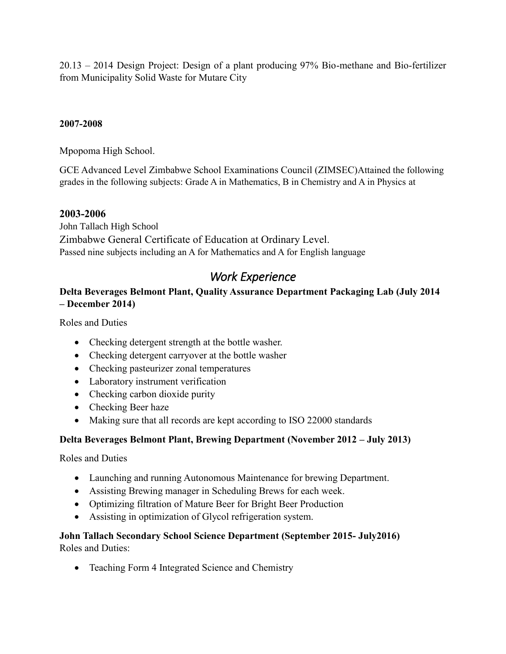20.13 – 2014 Design Project: Design of a plant producing 97% Bio-methane and Bio-fertilizer from Municipality Solid Waste for Mutare City

#### **2007-2008**

Mpopoma High School.

GCE Advanced Level Zimbabwe School Examinations Council (ZIMSEC)Attained the following grades in the following subjects: Grade A in Mathematics, B in Chemistry and A in Physics at

#### **2003-2006**

John Tallach High School Zimbabwe General Certificate of Education at Ordinary Level. Passed nine subjects including an A for Mathematics and A for English language

## *Work Experience*

## **Delta Beverages Belmont Plant, Quality Assurance Department Packaging Lab (July 2014 – December 2014)**

Roles and Duties

- Checking detergent strength at the bottle washer.
- Checking detergent carryover at the bottle washer
- Checking pasteurizer zonal temperatures
- Laboratory instrument verification
- Checking carbon dioxide purity
- Checking Beer haze
- Making sure that all records are kept according to ISO 22000 standards

## **Delta Beverages Belmont Plant, Brewing Department (November 2012 – July 2013)**

Roles and Duties

- Launching and running Autonomous Maintenance for brewing Department.
- Assisting Brewing manager in Scheduling Brews for each week.
- Optimizing filtration of Mature Beer for Bright Beer Production
- Assisting in optimization of Glycol refrigeration system.

**John Tallach Secondary School Science Department (September 2015- July2016)** Roles and Duties:

• Teaching Form 4 Integrated Science and Chemistry